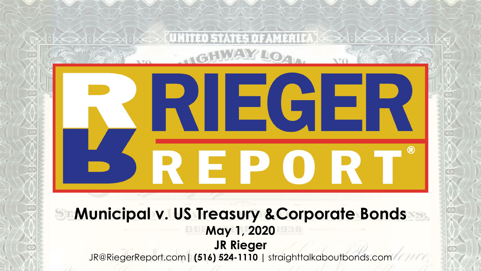# $\blacksquare$ NE PO **Municipal v. US Treasury &Corporate Bonds May 1, 2020 JR Rieger** JR@RiegerReport.com**| (516) 524-1110 |** straighttalkaboutbonds.com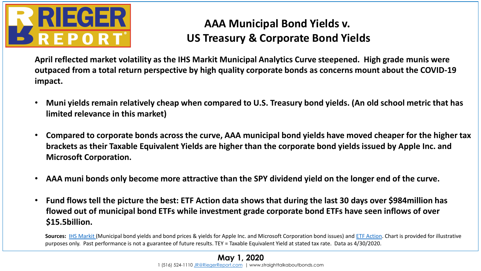

## **AAA Municipal Bond Yields v. US Treasury & Corporate Bond Yields**

**April reflected market volatility as the IHS Markit Municipal Analytics Curve steepened. High grade munis were outpaced from a total return perspective by high quality corporate bonds as concerns mount about the COVID-19 impact.**

- **Muni yields remain relatively cheap when compared to U.S. Treasury bond yields. (An old school metric that has limited relevance in this market)**
- **Compared to corporate bonds across the curve, AAA municipal bond yields have moved cheaper for the higher tax brackets as their Taxable Equivalent Yields are higher than the corporate bond yields issued by Apple Inc. and Microsoft Corporation.**
- **AAA muni bonds only become more attractive than the SPY dividend yield on the longer end of the curve.**
- **Fund flows tell the picture the best: ETF Action data shows that during the last 30 days over \$984million has flowed out of municipal bond ETFs while investment grade corporate bond ETFs have seen inflows of over \$15.5billion.**

**Sources:** [IHS Markit](https://ihsmarkit.com/index.html) (Municipal bond yields and bond prices & yields for Apple Inc. and Microsoft Corporation bond issues) and [ETF Action](http://www.etfactions.com/). Chart is provided for illustrative purposes only. Past performance is not a guarantee of future results. TEY = Taxable Equivalent Yield at stated tax rate. Data as 4/30/2020.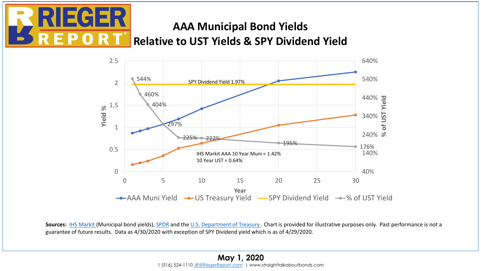

## **AAA Municipal Bond Yields Relative to UST Yields & SPY Dividend Yield**



Sources: [IHS Markit](https://ihsmarkit.com/index.html) (Municipal bond yields), [SPDR](https://us.spdrs.com/en/etf/spdr-sp-500-etf-trust-SPY) and the [U.S. Department of Treasury .](http://www.treasury.gov/) Chart is provided for illustrative purposes only. Past performance is not a guarantee of future results. Data as 4/30/2020 with exception of SPY Dividend yield which is as of 4/29/2020.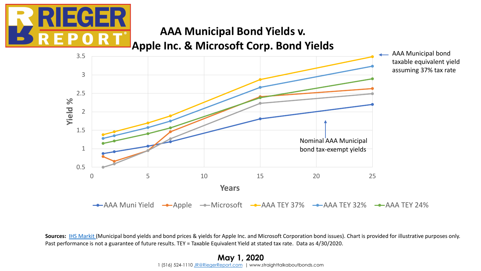

### **AAA Municipal Bond Yields v. Apple Inc. & Microsoft Corp. Bond Yields**



Sources: **IHS Markit** (Municipal bond yields and bond prices & yields for Apple Inc. and Microsoft Corporation bond issues). Chart is provided for illustrative purposes only. Past performance is not a guarantee of future results. TEY = Taxable Equivalent Yield at stated tax rate. Data as 4/30/2020.

> **May 1, 2020** 1 (516) 524-1110 [JR@RiegerReport.com](mailto:jrrieger@yahoo.com) | www.straighttalkaboutbonds.com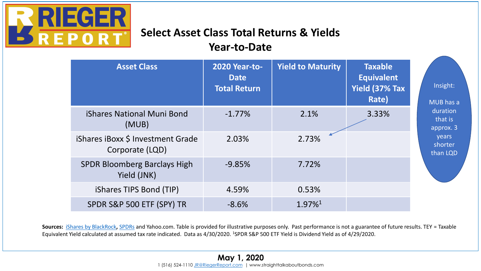

# **Select Asset Class Total Returns & Yields**

#### **Year-to-Date**

| <b>Asset Class</b>                                   | <b>2020 Year-to-</b><br><b>Date</b><br><b>Total Return</b> | <b>Yield to Maturity</b> | <b>Taxable</b><br><b>Equivalent</b><br>Yield (37% Tax<br>Rate) | Insight:<br>MUB has a                                            |
|------------------------------------------------------|------------------------------------------------------------|--------------------------|----------------------------------------------------------------|------------------------------------------------------------------|
| <b>iShares National Muni Bond</b><br>(MUB)           | $-1.77\%$                                                  | 2.1%                     | 3.33%                                                          | duration<br>that is<br>approx. 3<br>years<br>shorter<br>than LQD |
| iShares iBoxx \$ Investment Grade<br>Corporate (LQD) | 2.03%                                                      | 2.73%                    |                                                                |                                                                  |
| <b>SPDR Bloomberg Barclays High</b><br>Yield (JNK)   | $-9.85%$                                                   | 7.72%                    |                                                                |                                                                  |
| iShares TIPS Bond (TIP)                              | 4.59%                                                      | 0.53%                    |                                                                |                                                                  |
| SPDR S&P 500 ETF (SPY) TR                            | $-8.6%$                                                    | 1.97%1                   |                                                                |                                                                  |

**Sources:** *[iShares by BlackRock](http://www.ishares.com/), [SPDRs](http://www.ssga.com/)* and Yahoo.com. Table is provided for illustrative purposes only. Past performance is not a guarantee of future results. TEY = Taxable Equivalent Yield calculated at assumed tax rate indicated. Data as 4/30/2020. <sup>1</sup>SPDR S&P 500 ETF Yield is Dividend Yield as of 4/29/2020.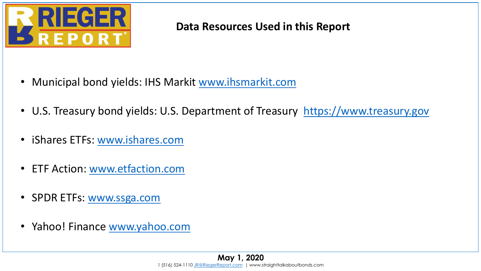

#### **Data Resources Used in this Report**

- Municipal bond yields: IHS Markit [www.ihsmarkit.com](http://www.ihsmarkit.com/)
- U.S. Treasury bond yields: U.S. Department of Treasury [https://www.treasury.gov](https://www.treasury.gov/)
- iShares ETFs: [www.ishares.com](http://www.ishares.com/)
- ETF Action: [www.etfaction.com](http://www.etfaction.com/)
- SPDR ETFs: [www.ssga.com](http://www.ssga.com/)
- Yahoo! Finance [www.yahoo.com](http://www.yahoo.com/)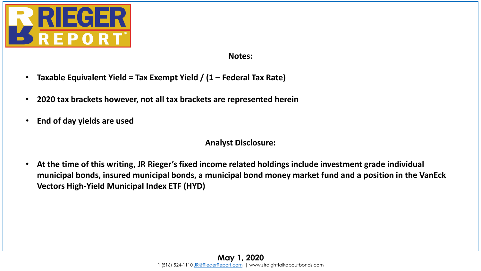

#### **Notes:**

- **Taxable Equivalent Yield = Tax Exempt Yield / (1 – Federal Tax Rate)**
- **2020 tax brackets however, not all tax brackets are represented herein**
- **End of day yields are used**

#### **Analyst Disclosure:**

• **At the time of this writing, JR Rieger's fixed income related holdings include investment grade individual municipal bonds, insured municipal bonds, a municipal bond money market fund and a position in the VanEck Vectors High-Yield Municipal Index ETF (HYD)**